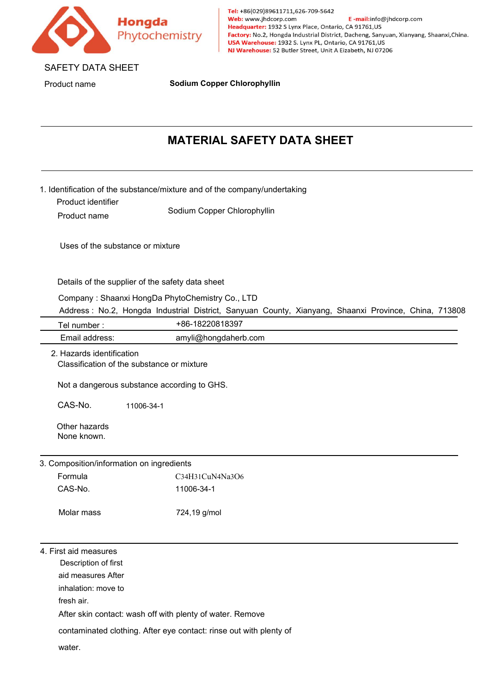

# **MATERIAL SAFETY DATA SHEET**

| <b>MATERIAL SAFETY DATA SHEET</b><br>1. Identification of the substance/mixture and of the company/undertaking<br>Sodium Copper Chlorophyllin<br>Details of the supplier of the safety data sheet<br>Company: Shaanxi HongDa PhytoChemistry Co., LTD<br>Address: No.2, Hongda Industrial District, Sanyuan County, Xianyang, Shaanxi Province, China, 713808<br>+86-18220818397 |
|---------------------------------------------------------------------------------------------------------------------------------------------------------------------------------------------------------------------------------------------------------------------------------------------------------------------------------------------------------------------------------|
|                                                                                                                                                                                                                                                                                                                                                                                 |
|                                                                                                                                                                                                                                                                                                                                                                                 |
|                                                                                                                                                                                                                                                                                                                                                                                 |
|                                                                                                                                                                                                                                                                                                                                                                                 |
|                                                                                                                                                                                                                                                                                                                                                                                 |
|                                                                                                                                                                                                                                                                                                                                                                                 |
|                                                                                                                                                                                                                                                                                                                                                                                 |
| amyli@hongdaherb.com                                                                                                                                                                                                                                                                                                                                                            |
| Classification of the substance or mixture<br>Not a dangerous substance according to GHS.                                                                                                                                                                                                                                                                                       |
|                                                                                                                                                                                                                                                                                                                                                                                 |
| C34H31CuN4Na3O6                                                                                                                                                                                                                                                                                                                                                                 |
| 11006-34-1                                                                                                                                                                                                                                                                                                                                                                      |
| 724,19 g/mol                                                                                                                                                                                                                                                                                                                                                                    |
|                                                                                                                                                                                                                                                                                                                                                                                 |
|                                                                                                                                                                                                                                                                                                                                                                                 |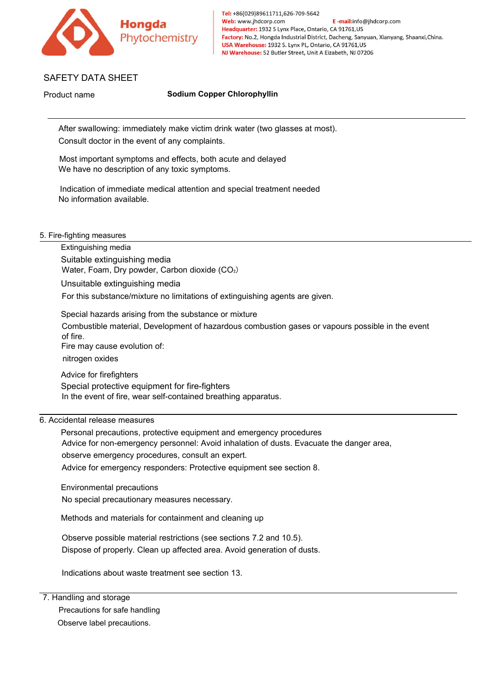

Most incrimately the time that the symptoms and the symptoms and special treatment needed<br>No information of immediate medical attention and special treatment needed<br>No information available. ETY DATA SHEET<br>
Sodium Copper Chlorophyllin<br>
After swallowing: immediately make victim drink water (two glasses at<br>
Consult doctor in the event of any complaints.<br>
Most important symptoms and effects, both acute and delaye IETY DATA SHEET<br>
Indication of immediately make victim drink water (two glasses at most).<br>
Indication of immediate medical attention and special treatment needed<br>
Indication of immediate medical attention and special treat Sodium Copper Cherri DATA STIEET<br>After swallowing: immediately make victim drink v<br>Consult doctor in the event of any complaints.<br>Most important symptoms and effects, both acute<br>We have no description of any toxic symptoms

After swallowing: immediately make victin<br>Consult doctor in the event of any compla<br>Most important symptoms and effects, bo<br>We have no description of any toxic symp<br>Indication of immediate medical attention<br>No information Consult doctor in the event of any complaints.<br>
Most important symptoms and effects, both ac<br>
We have no description of any toxic symptoms<br>
Indication of immediate medical attention and<br>
No information available.<br>
Tighting Consult doctor in the event of any complaints.<br>
Most important symptoms and effects, both acute and delay<br>
We have no description of any toxic symptoms.<br>
Indication of immediate medical attention and special treatm<br>
No in Most important symptoms and effects, both acute and delayed<br>
We have no description of any toxic symptoms.<br>
Indication of immediate medical attention and special treatment needed<br>
No information available.<br>
---------------Most important symptoms and effects, both acute and delayed<br>
We have no description of any toxic symptoms.<br>
Indication of immediate medical attention and special treatmer<br>
No information available.<br>
--fighting measures<br>
E

ndication of immediate medical attention and special treatment needed<br>Ho information available.<br>For this substance as<br>Extinguishing media<br>Water, Foam, Dry powder, Carbon dioxide (CO<sub>2</sub>)<br>Unsuitable extinguishing media<br>For t No information available.<br>
Suitable extinguishing media<br>
Suitable extinguishing media<br>
Water, Foam, Dry powder, Carbon dioxide (CO<sub>2</sub>)<br>
Unsuitable extinguishing media<br>
For this substance/mixture no limitations of extinguis Fighting measures<br>Extinguishing media<br>Suitable extinguishing media<br>Water, Foam, Dry powder, Carbon dioxide (CO<sub>2</sub>)<br>Unsuitable extinguishing media<br>For this substance/mixture no limitations of extinguishing agents are given. -fighting measures<br>Extinguishing media<br>Suitable extinguishing media<br>Water, Foam, Dry powder, Carbon d<br>Unsuitable extinguishing media<br>For this substance/mixture no limitat<br>Special hazards arising from the sub<br>Combustible ma Frighting measures<br>
Extinguishing media<br>
Suitable extinguishing media<br>
Water, Foam, Dry powder, Carbon dioxide (CO<sub>2</sub>)<br>
Unsuitable extinguishing media<br>
For this substance/mixture no limitations of extinguishing ag<br>
Special Extinguishing media<br>Extinguishing media<br>Suitable extinguishing media<br>Water, Foam, Dry powder, Carbon dioxide<br>Unsuitable extinguishing media<br>For this substance/mixture no limitations of<br>Special hazards arising from the subs Suitable extinguishing media<br>
Water, Foam, Dry powder, Carbon dioxide ((<br>
Unsuitable extinguishing media<br>
For this substance/mixture no limitations of e<br>
Special hazards arising from the substance (<br>
Combustible material, Suitable extinguishing media<br>
Water, Foam, Dry powder, Carbon dioxide (CO<sub>2</sub>)<br>
Unsuitable extinguishing media<br>
For this substance/mixture no limitations of extinguishing agents are g<br>
Special hazards arising from the subst Unsuitable extinguishing media<br>
For this substance/mixture no limitations of extinguishing agents are given.<br>
Special hazards arising from the substance or mixture<br>
Combustible material, Development of hazardous combustion Special hazards arising from the substance or mix<br>Combustible material, Development of hazardous<br>of fire.<br>Fire may cause evolution of:<br>nitrogen oxides<br>Advice for firefighters<br>Special protective equipment for fire-fighters<br> Special hazards arising from the substance or mixture<br>
Combustible material, Development of hazardous combustion gases or vapours possible in the<br>
of frie.<br>
Fire may cause evolution of:<br>
Pire may cause evolution of:<br>
Advic Combustible material, Development of hazardous combustion gases or vapours possible in the event<br>of fire.<br>Fire may cause evolution of:<br>articogen oxides<br>Advice for firefighters<br>Special protective equipment for fire-fighters of tire.<br>Fire may cause evolution of:<br>Advice for firefighters<br>Special protective equipment for fire-fighters<br>Special protective equipment for fire-fighters<br>in the event of fire, wear self-contained breathing apparatus.<br>Adv

Fire may cause evolution of.<br>
Advice for firefighters<br>
Special protective equipment for fire-fighters<br>
In the event of fire, wear self-contained breathing apparatus.<br>
Edental release measures<br>
Personal precautions, protect Advice for firefighters<br>
Special protective equipment for fire-fighters<br>
In the event of fire, wear self-contained breathing<br>
idental release measures<br>
Personal precautions, protective equipment and (<br>
Advice for non-emerg Special protective equipment for fire-fighters<br>
In the event of fire, wear self-contained breathing apparatus.<br>
idental release measures<br>
Personal precautions, protective equipment and emergency procedure<br>
Advice for non-e In the event of the, wear sen-contained breathing apparatus.<br>
Edental release measures<br>
Personal precautions, protective equipment and emergency procedures<br>
Advice for non-emergency personnel: Avoid inhalation of dusts. Ev idental release measures<br>Personal precautions, protective equipment and emergency procedures<br>Advice for non-emergency personnel: Avoid inhalation of dusts. Evacuate the danger area,<br>observe emergency procedures, consult an Personal precautions, protective equipment and emergency procedures<br>Advice for non-emergency personnel: Avoid inhalation of dusts. Evacuate the danger area,<br>observe emergency procedures, consult an expert.<br>Advice for emerg observe emergency procedures, consult an expert.<br>
Advice for emergency responders: Protective equipment see section 8.<br>
Environmental precautionary measures necessary.<br>
Methods and materials for containment and cleaning up

Environmental precautionary<br>
No special precautionary measures necessar<br>
Methods and materials for containment and c<br>
Observe possible material restrictions (see se<br>
Dispose of properly. Clean up affected area.<br>
Indication No special precautionary measures necessary.<br>
Methods and materials for containment and cleanin<br>
Observe possible material restrictions (see sections<br>
Dispose of properly. Clean up affected area. Avoid<br>
Indications about w Methods and materials for containment and c<br>Observe possible material restrictions (see se<br>Dispose of properly. Clean up affected area.<br>Indications about waste treatment see section<br>andling and storage<br>Precautions for safe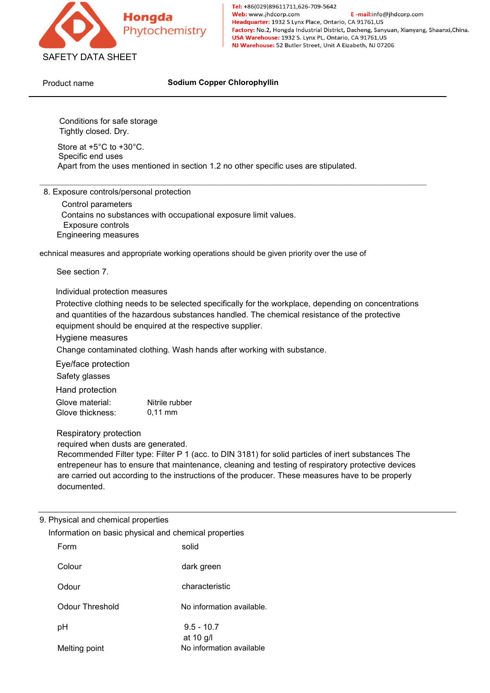

E-mail:info@jhdcorp.com

Phytochemistry<br>
FETY DATA SHEET<br>
Sodium Copper Chil<br>
Conditions for safe storage<br>
Tightly closed. Dry.<br>
Store at +5°C to +30°C.<br>
Specific end uses<br>
Apart from the uses mentioned in section 1.2 no ot ETY DATA SHEET<br>
Unit name<br>
Sodium Copper<br>
Conditions for safe storage<br>
Tightly closed. Dry.<br>
Store at +5°C to +30°C.<br>
Specific end uses<br>
Apart from the uses mentioned in section 1.2 net<br>
xposure controls/personal protectio SAFETY DATA SHEET<br>
Product name<br>
Product name<br>
Sodium Copper Chlorophyllin<br>
Conditions for safe storage<br>
Tightly closed. Dry.<br>
Store at +5°C to +30°C.<br>
Specific uses are stipulated.<br>
Apart from the uses mentioned in sectio

Conditions for safe storage<br>Conditions for safe storage<br>Cightly closed. Dry.<br>Specific end uses<br>part from the uses mentioned in section 1<br>posure controls/personal protection<br>Control parameters<br>Contains no substances with oc Conditions for safe storage<br>
Cightly closed. Dry.<br>
Store at +5°C to +30°C.<br>
Specific end uses<br>
part from the uses mentioned in section 1.2 no other specific uses are stipulated.<br>
posure controls/personal protection<br>
Contro Conditions for safe storage<br>
Eightly closed. Dry.<br>
tore at +5°C to +30°C.<br>
pecific end uses<br>
part from the uses mentioned in section 1.2<br>
posure controls/personal protection<br>
Control parameters<br>
Contains no substances with Conditions for safe storage<br>
Tightly closed. Dry.<br>
Store at +5°C to +30°C.<br>
Specific end uses<br>
Apart from the uses mentioned in section 1.2 r<br>
Xposure controls/personal protection<br>
Control parameters<br>
Contains no substance Store at +5°C to +30°C.<br>
Specific end uses<br>
Apart from the uses mentioned in section 1.2 no other specific uses are stipulated.<br>
8. Exposure controls/opersonal protection<br>
Control parameters<br>
Contains no substances with oc Specific end uses<br>
Apart from the uses mentioned in section 1.2 is<br>
Exposure controls/personal protection<br>
Control parameters<br>
Contains no substances with occupational ex<br>
Exposure controls<br>
Engineering measures<br>
ical meas Exposure controls/personal protection<br>
Control parameters<br>
Contains no substances with occupational exposure l<br>
Exposure controls<br>
Engineering measures<br>
ical measures and appropriate working operations should<br>
See section

Exposure controls/personal protection<br>
Control parameters<br>
Contains no substances with occupational exposure limit values.<br>
Expineering measures<br>
lical measures and appropriate working operations should be given priority o and control parameters<br>
Control parameters<br>
Control parameters<br>
Exposure controls<br>
Engineering measures<br>
cical measures and appropriate working operations should be given priority over the use of<br>
See section 7.<br>
Individua Contains no substances with occupational exposure limit values.<br>
Contains no substances with occupational exposure limit values.<br>
Exposure controls<br>
Engineering measures<br>
ical measures and appropriate working operations sh Contains no substances with occupational endepty<br>
Exposure controls<br>
Engineering measures<br>
ical measures and appropriate working operatic<br>
See section 7.<br>
Individual protection measures<br>
Protective clothing needs to be sel Engineering measures<br>
ical measures and appropriate working operations should be given priority over the use of<br>
See section 7.<br>
Individual protection measures<br>
Protective clothing needs to be selected specifically for the Enginosing moded.com<br>
ical measures and appropriate working operatio<br>
See section 7.<br>
Individual protection measures<br>
Protective clothing needs to be selected spec<br>
and quantities of the hazardous substances h<br>
equipment s Bee section 7.<br>
Individual protection measures<br>
Protective clothing needs to be selected sand quantities of the hazardous substance<br>
equipment should be enquired at the resp<br>
Hygiene measures<br>
Change contaminated clothing. See section 7.<br>
Individual protection measures<br>
Protective clothing needs to be selected s<br>
and quantities of the hazardous substance<br>
equipment should be enquired at the resp<br>
Hygiene measures<br>
Change contaminated clothin Individual protection measures<br>
Protective clothing needs to be selected specifically for the work<br>
and quantities of the hazardous substances handled. The chem<br>
equipment should be enquired at the respective supplier.<br>
Hy murvioual protection measures<br>
Protective clothing needs to be selected specifically for the workplaa<br>
and quantities of the hazardous substances handled. The chemical<br>
equipment should be enquired at the respective suppli

Processor and quantities of the hazardous substances hand<br>equipment should be enquired at the respective is<br>Hygiene measures<br>Change contaminated clothing. Wash hands afte<br>Eye/face protection<br>Safety glasses<br>Hand protection<br> equipment should be enquired at the respective supplier.<br>
Hygiene measures<br>
Change contaminated clothing. Wash hands after working<br>
Eye/face protection<br>
Safety glasses<br>
Hand protection<br>
Slove material: Nitrile rubber<br>
Slov Filter measures<br>
Schange contaminated clothing. Wash hands after working with substance.<br>
Eye/face protection<br>
Safety glasses<br>
Hand protection<br>
Silove material:<br>
Nitrile rubber<br>
Respiratory protection<br>
required when dusts Change contaminated clothing. Wash hands after working with substance.<br>Eye/face protection<br>Safety glasses<br>Hand protection<br>Talove material: Mitrile rubber<br>Nove thickness: 0,11 mm<br>Respiratory protection<br>required when dusts a Eye/face protection<br>Safety glasses<br>Hand protection<br>Slove material: Witrile rubber<br>Nespiratory protection<br>required when dusts are generated.<br>Recommended Filter type: Filter P 1 (acc. to DIN 3181) for solid particles of iner documented. Glove material: Nitrile rubber<br>
Glove thickness: 0,11 mm<br>
Respiratory protection<br>
required when dusts are generated.<br>
Recommended Filter type: Filter P 1 (acc. to DIN 3181<br>
entrepeneur has to ensure that maintenance, clean U.11 mm<br>
Respiratory protection<br>
required when dusts are generated.<br>
Recommended Filter type: Filter P 1 (acc. to DIN 3181) for solid particles of<br>
entrepeneur has to ensure that maintenance, cleaning and testing of respir

| gocurrienteg.                           |                                                              |
|-----------------------------------------|--------------------------------------------------------------|
| hysical and chemical properties<br>Form | formation on basic physical and chemical properties<br>solid |
| Colour                                  | dark green                                                   |
| Odour                                   | characteristic                                               |
| Odour Threshold                         | No information available.                                    |
| рH                                      | $9.5 - 10.7$<br>at 10 g/l                                    |
| Melting point                           | No information available                                     |
|                                         |                                                              |
|                                         |                                                              |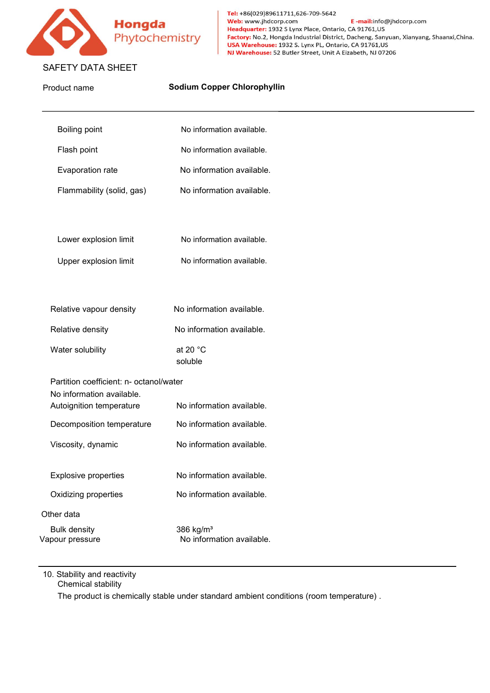

| Hongda<br>Phytochemistry                                                                         |                               | Tel: +86(029)89611711,626-709-5642<br>Web: www.jhdcorp.com<br>E-mail:info@jhdcorp.com<br>Headquarter: 1932 S Lynx Place, Ontario, CA 91761, US<br>Factory: No.2, Hongda Industrial District, Dacheng, Sanyuan, Xianyang, Shaanxi, China.<br>USA Warehouse: 1932 S. Lynx PL, Ontario, CA 91761, US<br>NJ Warehouse: 52 Butler Street, Unit A Eizabeth, NJ 07206 |
|--------------------------------------------------------------------------------------------------|-------------------------------|----------------------------------------------------------------------------------------------------------------------------------------------------------------------------------------------------------------------------------------------------------------------------------------------------------------------------------------------------------------|
| <b>SAFETY DATA SHEET</b>                                                                         |                               |                                                                                                                                                                                                                                                                                                                                                                |
| Product name                                                                                     |                               | <b>Sodium Copper Chlorophyllin</b>                                                                                                                                                                                                                                                                                                                             |
| <b>Boiling point</b>                                                                             |                               | No information available.                                                                                                                                                                                                                                                                                                                                      |
| Flash point                                                                                      |                               | No information available.                                                                                                                                                                                                                                                                                                                                      |
| Evaporation rate                                                                                 |                               | No information available.                                                                                                                                                                                                                                                                                                                                      |
| Flammability (solid, gas)                                                                        |                               | No information available.                                                                                                                                                                                                                                                                                                                                      |
| Lower explosion limit                                                                            |                               | No information available.                                                                                                                                                                                                                                                                                                                                      |
| Upper explosion limit                                                                            |                               | No information available.                                                                                                                                                                                                                                                                                                                                      |
| Relative vapour density                                                                          |                               | No information available.                                                                                                                                                                                                                                                                                                                                      |
| Relative density                                                                                 |                               | No information available.                                                                                                                                                                                                                                                                                                                                      |
| Water solubility                                                                                 | at 20 $^{\circ}$ C<br>soluble |                                                                                                                                                                                                                                                                                                                                                                |
| Partition coefficient: n- octanol/water<br>No information available.<br>Autoignition temperature |                               | No information available.                                                                                                                                                                                                                                                                                                                                      |
| Decomposition temperature                                                                        |                               | No information available.                                                                                                                                                                                                                                                                                                                                      |
| Viscosity, dynamic                                                                               |                               | No information available.                                                                                                                                                                                                                                                                                                                                      |
| <b>Explosive properties</b>                                                                      |                               | No information available.                                                                                                                                                                                                                                                                                                                                      |
| Oxidizing properties                                                                             |                               | No information available.                                                                                                                                                                                                                                                                                                                                      |
| Other data                                                                                       |                               |                                                                                                                                                                                                                                                                                                                                                                |
| <b>Bulk density</b><br>Vapour pressure                                                           | 386 kg/m <sup>3</sup>         | No information available.                                                                                                                                                                                                                                                                                                                                      |
| 10. Stability and reactivity<br>Chemical stability                                               |                               |                                                                                                                                                                                                                                                                                                                                                                |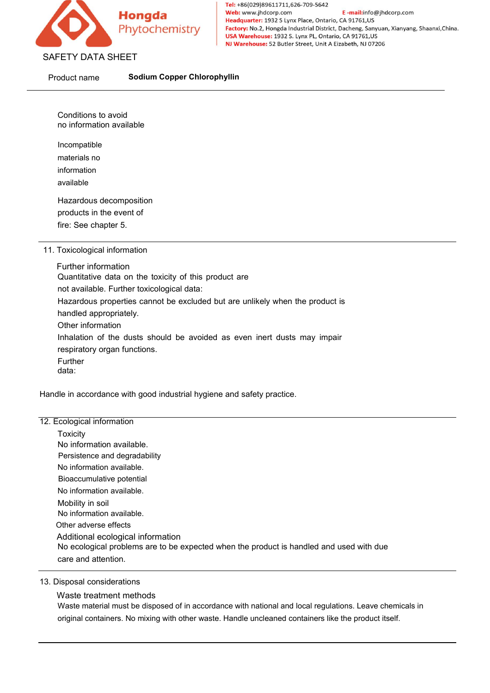

FETY DATA SHEET<br>
oduct name<br>
Sodium Copper Chlor<br>
Conditions to avoid<br>
mo information available<br>
Incompatible<br>
materials no<br>
information<br>
available

Incompatible

information

available

Conditions to avoid<br>
no information available<br>
Incompatible<br>
materials no<br>
information<br>
available<br>
Hazardous decomposition<br>
products in the event of<br>
fire: See chapter 5. Conditions to avoid<br>
no information available<br>
Incompatible<br>
materials no<br>
information<br>
available<br>
Hazardous decomposition<br>
products in the event of<br>
fire: See chapter 5.<br>
Toxicological information Conditions to avoid<br>
no information available<br>
Incompatible<br>
materials no<br>
information<br>
available<br>
Hazardous decomposition<br>
products in the event of<br>
fire: See chapter 5.<br>
Toxicological information<br>
Further information

Incompatible<br>
materials no<br>
information<br>
available<br>
Hazardous decomposition<br>
products in the event of<br>
fire: See chapter 5.<br>
11. Toxicological information<br>
Further information<br>
Quantitative data on the toxicity of this pro Incompatible<br>
materials no<br>
information<br>
available<br>
Hazardous decomposition<br>
products in the event of<br>
fire: See chapter 5.<br>
Toxicological information<br>
Further information<br>
Quantitative data on the toxicity of this proc<br>
n materials no<br>
information<br>
available<br>
Hazardous decomposition<br>
products in the event of<br>
fire: See chapter 5.<br>
<br>
Toxicological information<br>
Quantitative data on the toxicity of this product are<br>
not available. Further toxi nnormation<br>
available<br>
Hazardous decomposition<br>
products in the event of<br>
fire: See chapter 5.<br>
<br>
Toxicological information<br>
Further information<br>
Quantitative data on the toxicity of this product are<br>
not available. Furthe available<br>
Hazardous decomposition<br>
products in the event of<br>
Toxicological information<br>
Turther information<br>
Quantitative data on the toxicity of this product are<br>
Hazardous properties cannot be excluded but are unlikely Hazardous decomposition<br>products in the event of<br>fire: See chapter 5.<br>Toxicological information<br>Further information<br>Quantitative data on the toxicity of this pr<br>not available. Further toxicological data:<br>Hazardous properti products in the event of<br>fire: See chapter 5.<br>Toxicological information<br>Further information<br>Quantitative data on the toxicity of this p<br>not available. Further toxicological data:<br>Hazardous properties cannot be exclude<br>hand Fire: See chapter 5.<br>
Toxicological information<br>
Further information<br>
Quantitative data on the toxicity of this product are<br>
not available. Further toxicological data:<br>
Hazardous properties cannot be excluded but are unlik Toxicological information<br>
Further information<br>
Quantitative data on the toxicity of this product and<br>
not available. Further toxicological data:<br>
Hazardous properties cannot be excluded but are unitaled appropriately.<br>
Ot Further data: Quantitative data on the toxicity of this product are<br>not available. Further toxicological data:<br>Hazardous properties cannot be excluded but are unlikely when the product is<br>handled appropriately.<br>Other information<br>Inhalat Hazardous properties cannot be excluded by<br>
handled appropriately.<br>
Other information<br>
Inhalation of the dusts should be avoided<br>
respiratory organ functions.<br>
Further<br>
data:<br>
Handle in accordance with good industrial hygi

**Toxicity** Other information<br>
Inhalation of the dusts should be avoided as e<br>
respiratory organ functions.<br>
Further<br>
data:<br>
Ile in accordance with good industrial hygiene and<br>
cological information<br>
Toxicity<br>
No information available respiratory organ functions.<br>
Further<br>
data:<br>
Ile in accordance with good industrial hygiene and<br>
cological information<br>
Toxicity<br>
No information available.<br>
Persistence and degradability<br>
No information available.<br>
Bioacc Eurther<br>
Further<br>
data:<br>
Ile in accordance with good industrial hygiene a<br>
cological information<br>
Toxicity<br>
No information available.<br>
Persistence and degradability<br>
No information available.<br>
Bioaccumulative potential<br>
No Francia<br>
data:<br>
Ile in accordance with good industrial hygiene an<br>
cological information<br>
Toxicity<br>
No information available.<br>
Persistence and degradability<br>
No information available.<br>
Mo information available.<br>
Mobility i Ile in accordance with good industrial hygiene a<br>
icological information<br>
Toxicity<br>
No information available.<br>
Persistence and degradability<br>
No information available.<br>
Bioaccumulative potential<br>
No information available.<br> Ile in accordance with good industrial hygien<br>
icological information<br>
Toxicity<br>
No information available.<br>
Persistence and degradability<br>
No information available.<br>
Bioaccumulative potential<br>
No information available.<br>
Mo Cological information<br>
Toxicity<br>
No information available.<br>
Persistence and degradability<br>
No information available.<br>
Bioaccumulative potential<br>
No information available.<br>
Mobility in soil<br>
No information available.<br>
Other Ecological information<br>
Toxicity<br>
No information available.<br>
Persistence and degradability<br>
No information available.<br>
Bioaccumulative potential<br>
No information available.<br>
Mobility in soil<br>
No information available.<br>
Othe Ecological information<br>
Toxicity<br>
No information available.<br>
Persistence and degradability<br>
No information available.<br>
Bioaccumulative potential<br>
No information available.<br>
Mobility in soil<br>
No information available.<br>
Othe Toxicity<br>No information available.<br>Persistence and degradability<br>Bioaccumulative potential<br>Bioaccumulative potential<br>No information available.<br>Mobility in soil<br>Mo information available.<br>Additional ecological information<br>No No information available.<br>Persistence and degradability<br>No information available.<br>Bioaccumulative potential<br>No information available.<br>Mobility in soil<br>No information available.<br>Other adverse effects<br>Additional ecological i No information available.<br>
Bioaccumulative potential<br>
No information available.<br>
Mobility in soil<br>
No information available.<br>
Other adverse effects<br>
Additional ecological information<br>
No ecological problems are to be expec No information available.<br>
Bioaccumulative potential<br>
No information available.<br>
Mobility in soil<br>
No information available.<br>
Other adverse effects<br>
Additional ecological information<br>
No ecological problems are to be expec No information available.<br>Mo information available.<br>Diher adverse effects<br>Additional ecological problems are to be expected when the product is handled and used with due<br>care and attention.<br>Visposal considerations<br>Waste tr molining in solitomation<br>No information available.<br>Additional ecological information<br>No ecological problems are to be expected when the product is handled and used with due<br>care and attention.<br>Visposal considerations<br>Waste